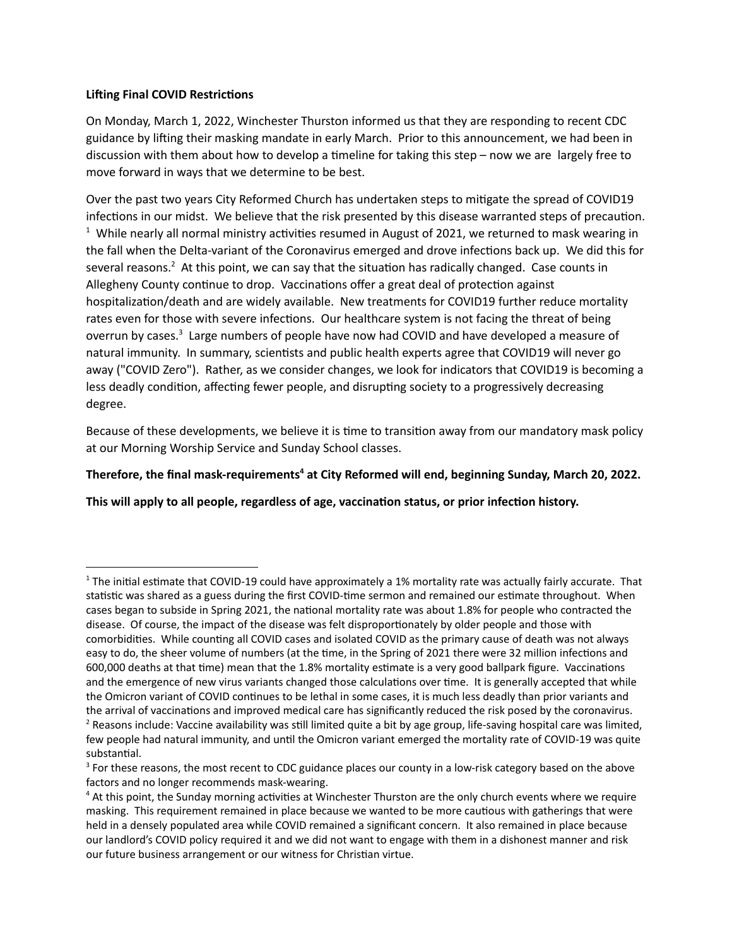## **Lifting Final COVID Restrictions**

On Monday, March 1, 2022, Winchester Thurston informed us that they are responding to recent CDC guidance by lifting their masking mandate in early March. Prior to this announcement, we had been in discussion with them about how to develop a timeline for taking this step – now we are largely free to move forward in ways that we determine to be best.

Over the past two years City Reformed Church has undertaken steps to mitigate the spread of COVID19 infections in our midst. We believe that the risk presented by this disease warranted steps of precaution.  $1$  While nearly all normal ministry activities resumed in August of 2021, we returned to mask wearing in the fall when the Delta-variant of the Coronavirus emerged and drove infections back up. We did this for several reasons.<sup>2</sup> At this point, we can say that the situation has radically changed. Case counts in Allegheny County continue to drop. Vaccinations offer a great deal of protection against hospitalization/death and are widely available. New treatments for COVID19 further reduce mortality rates even for those with severe infections. Our healthcare system is not facing the threat of being overrun by cases.<sup>3</sup> Large numbers of people have now had COVID and have developed a measure of natural immunity. In summary, scientists and public health experts agree that COVID19 will never go away ("COVID Zero"). Rather, as we consider changes, we look for indicators that COVID19 is becoming a less deadly condition, affecting fewer people, and disrupting society to a progressively decreasing degree.

Because of these developments, we believe it is time to transition away from our mandatory mask policy at our Morning Worship Service and Sunday School classes.

## **Therefore, the final mask-requirements at City Reformed will end, beginning Sunday, March 20, 2022. 4**

**This will apply to all people, regardless of age, vaccinaon status, or prior infecon history.**

 $<sup>2</sup>$  Reasons include: Vaccine availability was still limited quite a bit by age group, life-saving hospital care was limited,</sup> few people had natural immunity, and until the Omicron variant emerged the mortality rate of COVID-19 was quite substantial.  $1$  The initial estimate that COVID-19 could have approximately a 1% mortality rate was actually fairly accurate. That statistic was shared as a guess during the first COVID-time sermon and remained our estimate throughout. When cases began to subside in Spring 2021, the national mortality rate was about 1.8% for people who contracted the disease. Of course, the impact of the disease was felt disproportionately by older people and those with comorbidities. While counting all COVID cases and isolated COVID as the primary cause of death was not always easy to do, the sheer volume of numbers (at the time, in the Spring of 2021 there were 32 million infections and 600,000 deaths at that time) mean that the 1.8% mortality estimate is a very good ballpark figure. Vaccinations and the emergence of new virus variants changed those calculations over time. It is generally accepted that while the Omicron variant of COVID continues to be lethal in some cases, it is much less deadly than prior variants and the arrival of vaccinations and improved medical care has significantly reduced the risk posed by the coronavirus.

<sup>&</sup>lt;sup>3</sup> For these reasons, the most recent to CDC guidance places our county in a low-risk category based on the above factors and no longer recommends mask-wearing.

 $4$  At this point, the Sunday morning activities at Winchester Thurston are the only church events where we require masking. This requirement remained in place because we wanted to be more cautious with gatherings that were held in a densely populated area while COVID remained a significant concern. It also remained in place because our landlord's COVID policy required it and we did not want to engage with them in a dishonest manner and risk our future business arrangement or our witness for Christian virtue.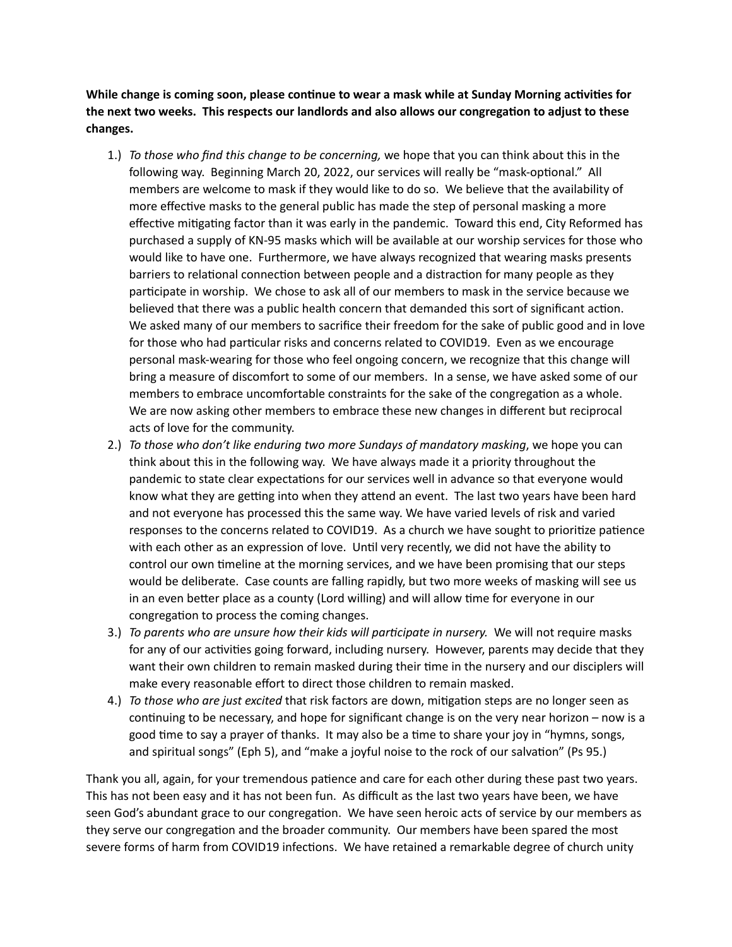**While** change is coming soon, please continue to wear a mask while at Sunday Morning activities for **the next two weeks. This respects our landlords and also allows our congregaon to adjust to these changes.**

- 1.) *To those who find this change to be concerning,* we hope that you can think about this in the following way. Beginning March 20, 2022, our services will really be "mask-optional." All members are welcome to mask if they would like to do so. We believe that the availability of more effective masks to the general public has made the step of personal masking a more effective mitigating factor than it was early in the pandemic. Toward this end, City Reformed has purchased a supply of KN-95 masks which will be available at our worship services for those who would like to have one. Furthermore, we have always recognized that wearing masks presents barriers to relational connection between people and a distraction for many people as they participate in worship. We chose to ask all of our members to mask in the service because we believed that there was a public health concern that demanded this sort of significant action. We asked many of our members to sacrifice their freedom for the sake of public good and in love for those who had particular risks and concerns related to COVID19. Even as we encourage personal mask-wearing for those who feel ongoing concern, we recognize that this change will bring a measure of discomfort to some of our members. In a sense, we have asked some of our members to embrace uncomfortable constraints for the sake of the congregation as a whole. We are now asking other members to embrace these new changes in different but reciprocal acts of love for the community.
- 2.) *To those who don't like enduring two more Sundays of mandatory masking*, we hope you can think about this in the following way. We have always made it a priority throughout the pandemic to state clear expectations for our services well in advance so that everyone would know what they are getting into when they attend an event. The last two years have been hard and not everyone has processed this the same way. We have varied levels of risk and varied responses to the concerns related to COVID19. As a church we have sought to prioritize patience with each other as an expression of love. Until very recently, we did not have the ability to control our own timeline at the morning services, and we have been promising that our steps would be deliberate. Case counts are falling rapidly, but two more weeks of masking will see us in an even better place as a county (Lord willing) and will allow time for everyone in our congregation to process the coming changes.
- 3.) *To parents who are unsure how their kids will parcipate in nursery.* We will not require masks for any of our activities going forward, including nursery. However, parents may decide that they want their own children to remain masked during their time in the nursery and our disciplers will make every reasonable effort to direct those children to remain masked.
- 4.) *To those who are just excited* that risk factors are down, mitigation steps are no longer seen as continuing to be necessary, and hope for significant change is on the very near horizon  $-$  now is a good time to say a prayer of thanks. It may also be a time to share your joy in "hymns, songs, and spiritual songs" (Eph 5), and "make a joyful noise to the rock of our salvation" (Ps 95.)

Thank you all, again, for your tremendous patience and care for each other during these past two years. This has not been easy and it has not been fun. As difficult as the last two years have been, we have seen God's abundant grace to our congregation. We have seen heroic acts of service by our members as they serve our congregation and the broader community. Our members have been spared the most severe forms of harm from COVID19 infections. We have retained a remarkable degree of church unity